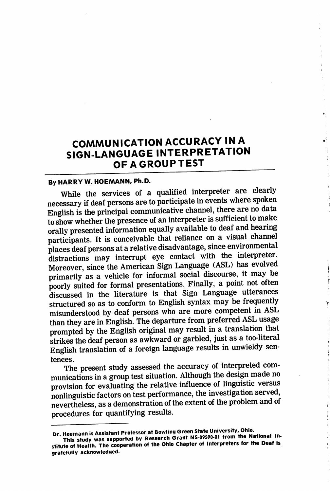# COMMUNICATION ACCURACY IN A SIGN-LANGUAGE INTERPRETATION OF A GROUP TEST

## By HARRY W. HOEMANN, Ph.D.

While the services of a qualified interpreter are clearly necessary if deaf persons are to participate in events where spoken English is the principal communicative channel, there are no data to show whether the presence of an interpreter is sufficient to make orally presented information equally available to deaf and hearing participants. It is conceivable that reliance on a visual channel places deaf persons at a relative disadvantage, since environmental distractions may interrupt eye contact with the interpreter. Moreover, since the American Sign Language (ASL) has evolved primarily as a vehicle for informal social discourse, it may be poorly suited for formal presentations. Finally, a point not often discussed in the literature is that Sign Language utterances structured so as to conform to English syntax may be frequently misunderstood by deaf persons who are more competent in ASL than they are in English. The departure from preferred ASL usage prompted by the English original may result in a translation that strikes the deaf person as awkward or garbled, just as a too-literal English translation of a foreign language results in unwieldy sentences.

The present study assessed the accuracy of interpreted com munications in a group test situation. Although the design made no provision for evaluating the relative influence of linguistic versus nonlinguistic factors on test performance, the investigation served, nevertheless, as a demonstration of the extent of the problem and of procedures for quantifying results.

Dr. Hoemann is Assistant Professor at Bowling Green State University, Ohio.<br>This study was supported by Research Grant NS-09590-01 from the National Institute of Health. The cooperation of the Ohio Chapter of Interpreters for the Deaf is gratefully acknowledged.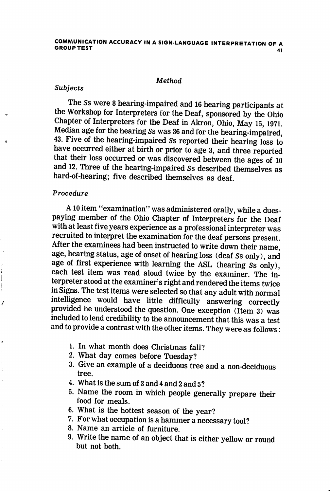### **Method**

#### Subjects

The Ss were 8 hearing-impaired and 16 hearing participants at the Workshop for Interpreters for the Deaf, sponsored by the Ohio Chapter of Interpreters for the Deaf in Akron, Ohio, May 15,1971. Median age for the hearing Ss was 36 and for the hearing-impaired, 43. Five of the hearing-impaired Ss reported their hearing loss to have occurred either at birth or prior to age 3, and three reported that their loss occurred or was discovered between the ages of 10 and 12. Three of the hearing-impaired Ss described themselves as hard-of-hearing; five described themselves as deaf.

## Procedure

 $\mathbf{I}$ 

A10 item "examination" was administered orally, while a duespaying member of the Ohio Chapter of Interpreters for the Deaf with at least five years experience as a professional interpreter was recruited to interpret the examination for the deaf persons present. After the examinees had been instructed to write down their name, age, hearing status, age of onset of hearing loss (deaf Ss only), and age of first experience with learning the ASL (hearing Ss only), each test item was read aloud twice by the examiner. The in terpreter stood at the examiner's right and rendered the items twice in Signs. The test items were selected so that any adult with normal intelligence would have little difficulty answering correctly provided he understood the question. One exception (Item 3) was included to lend credibility to the announcement that this was a test and to provide a contrast with the other items. They were as follows:

- 1. In what month does Christmas fall?
- 2. What day comes before Tuesday?
- 3. Give an example of a deciduous tree and a non-deciduous tree.
- 4. What is the sum of 3 and 4 and 2 and 5?
- 5. Name the room in which people generally prepare their food for meals.
- 6. What is the hottest season of the year?
- 7. For what occupation is a hammer a necessary tool?
- 8. Name an article of furniture.
- 9. Write the name of an object that is either yellow or round but not both.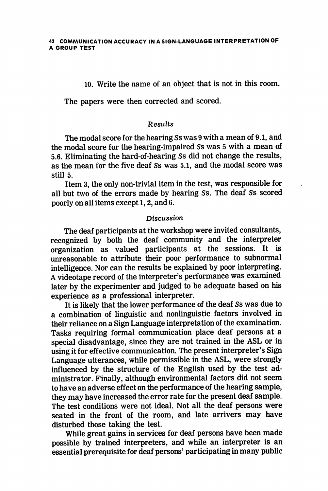10. Write the name of an object that is not in this room.

The papers were then corrected and scored.

## Results

The modal score for the hearing Ss was 9 with a mean of 9.1, and the modal score for the hearing-impaired Ss was 5 with a mean of 5.6. Eliminating the hard-of-hearing Ss did not change the results, as the mean for the five deaf Ss was 5.1, and the modal score was still 5.

Item 3, the only non-trivial item in the test, was responsible for all but two of the errors made by hearing Ss. The deaf Ss scored poorly on all items except 1,2, and 6.

## Discussion

The deaf participants at the workshop were invited consultants, recognized by both the deaf community and the interpreter organization as valued participants at the sessions. It is unreasonable to attribute their poor performance to subnormal intelligence. Nor can the results be explained by poor interpreting. A videotape record of the interpreter's performance was examined later by the experimenter and judged to be adequate based on his experience as a professional interpreter.

It is likely that the lower performance of the deaf Ss was due to a combination of linguistic and nonlinguistic factors involved in their reliance on a Sign Language interpretation of the examination. Tasks requiring formal communication place deaf persons at a special disadvantage, since they are not trained in the ASL or in using it for effective communication. The present interpreter's Sign Language utterances, while permissible in the ASL, were strongly influenced by the structure of the English used by the test ad ministrator. Finally, although environmental factors did not seem to have an adverse effect on the performance of the hearing sample, they may have increased the error rate for the present deaf sample. The test conditions were not ideal. Not all the deaf persons were seated in the front of the room, and late arrivers may have disturbed those taking the test.

While great gains in services for deaf persons have been made possible by trained interpreters, and while an interpreter is an essential prerequisite for deaf persons' participating in many public